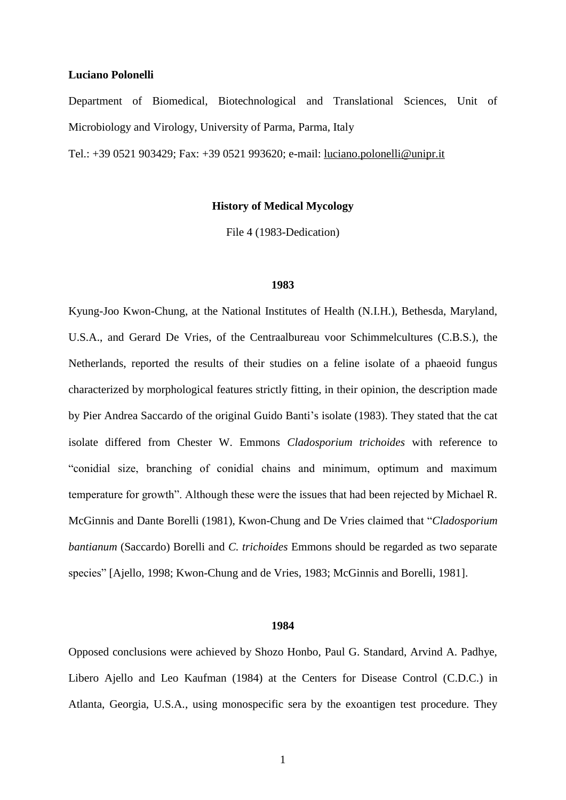## **Luciano Polonelli**

Department of Biomedical, Biotechnological and Translational Sciences, Unit of Microbiology and Virology, University of Parma, Parma, Italy

Tel.: +39 0521 903429; Fax: +39 0521 993620; e-mail: [luciano.polonelli@unipr.it](mailto:luciano.polonelli@unipr.it)

# **History of Medical Mycology**

File 4 (1983-Dedication)

## **1983**

Kyung-Joo Kwon-Chung, at the National Institutes of Health (N.I.H.), Bethesda, Maryland, U.S.A., and Gerard De Vries, of the Centraalbureau voor Schimmelcultures (C.B.S.), the Netherlands, reported the results of their studies on a feline isolate of a phaeoid fungus characterized by morphological features strictly fitting, in their opinion, the description made by Pier Andrea Saccardo of the original Guido Banti's isolate (1983). They stated that the cat isolate differed from Chester W. Emmons *Cladosporium trichoides* with reference to "conidial size, branching of conidial chains and minimum, optimum and maximum temperature for growth". Although these were the issues that had been rejected by Michael R. McGinnis and Dante Borelli (1981), Kwon-Chung and De Vries claimed that "*Cladosporium bantianum* (Saccardo) Borelli and *C. trichoides* Emmons should be regarded as two separate species" [Ajello, 1998; Kwon-Chung and de Vries, 1983; McGinnis and Borelli, 1981].

## **1984**

Opposed conclusions were achieved by Shozo Honbo, Paul G. Standard, Arvind A. Padhye, Libero Ajello and Leo Kaufman (1984) at the Centers for Disease Control (C.D.C.) in Atlanta, Georgia, U.S.A., using monospecific sera by the exoantigen test procedure. They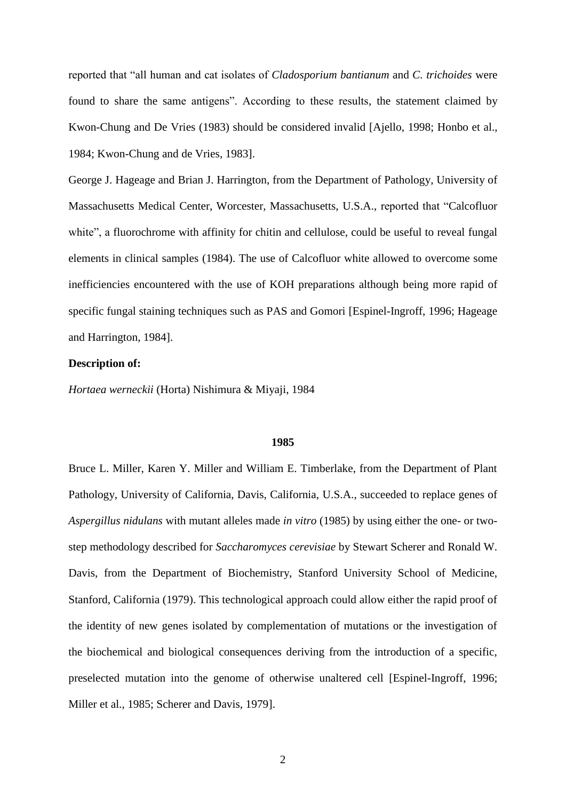reported that "all human and cat isolates of *Cladosporium bantianum* and *C. trichoides* were found to share the same antigens". According to these results, the statement claimed by Kwon-Chung and De Vries (1983) should be considered invalid [Ajello, 1998; Honbo et al., 1984; Kwon-Chung and de Vries, 1983].

George J. Hageage and Brian J. Harrington, from the Department of Pathology, University of Massachusetts Medical Center, Worcester, Massachusetts, U.S.A., reported that "Calcofluor white", a fluorochrome with affinity for chitin and cellulose, could be useful to reveal fungal elements in clinical samples (1984). The use of Calcofluor white allowed to overcome some inefficiencies encountered with the use of KOH preparations although being more rapid of specific fungal staining techniques such as PAS and Gomori [Espinel-Ingroff, 1996; Hageage and Harrington, 1984].

# **Description of:**

*Hortaea werneckii* (Horta) Nishimura & Miyaji, 1984

#### **1985**

Bruce L. Miller, Karen Y. Miller and William E. Timberlake, from the Department of Plant Pathology, University of California, Davis, California, U.S.A., succeeded to replace genes of *Aspergillus nidulans* with mutant alleles made *in vitro* (1985) by using either the one- or twostep methodology described for *Saccharomyces cerevisiae* by Stewart Scherer and Ronald W. Davis, from the Department of Biochemistry, Stanford University School of Medicine, Stanford, California (1979). This technological approach could allow either the rapid proof of the identity of new genes isolated by complementation of mutations or the investigation of the biochemical and biological consequences deriving from the introduction of a specific, preselected mutation into the genome of otherwise unaltered cell [Espinel-Ingroff, 1996; Miller et al., 1985; Scherer and Davis, 1979].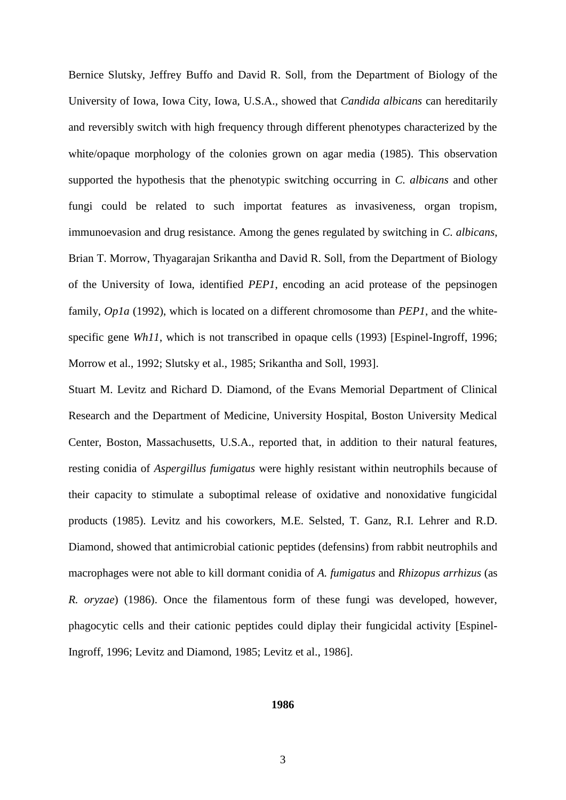Bernice Slutsky, Jeffrey Buffo and David R. Soll, from the Department of Biology of the University of Iowa, Iowa City, Iowa, U.S.A., showed that *Candida albicans* can hereditarily and reversibly switch with high frequency through different phenotypes characterized by the white/opaque morphology of the colonies grown on agar media (1985). This observation supported the hypothesis that the phenotypic switching occurring in *C. albicans* and other fungi could be related to such importat features as invasiveness, organ tropism, immunoevasion and drug resistance. Among the genes regulated by switching in *C. albicans*, Brian T. Morrow, Thyagarajan Srikantha and David R. Soll, from the Department of Biology of the University of Iowa, identified *PEP1*, encoding an acid protease of the pepsinogen family, *Op1a* (1992), which is located on a different chromosome than *PEP1*, and the whitespecific gene *Wh11*, which is not transcribed in opaque cells (1993) [Espinel-Ingroff, 1996; Morrow et al., 1992; Slutsky et al., 1985; Srikantha and Soll, 1993].

Stuart M. Levitz and Richard D. Diamond, of the Evans Memorial Department of Clinical Research and the Department of Medicine, University Hospital, Boston University Medical Center, Boston, Massachusetts, U.S.A., reported that, in addition to their natural features, resting conidia of *Aspergillus fumigatus* were highly resistant within neutrophils because of their capacity to stimulate a suboptimal release of oxidative and nonoxidative fungicidal products (1985). Levitz and his coworkers, M.E. Selsted, T. Ganz, R.I. Lehrer and R.D. Diamond, showed that antimicrobial cationic peptides (defensins) from rabbit neutrophils and macrophages were not able to kill dormant conidia of *A. fumigatus* and *Rhizopus arrhizus* (as *R. oryzae*) (1986). Once the filamentous form of these fungi was developed, however, phagocytic cells and their cationic peptides could diplay their fungicidal activity [Espinel-Ingroff, 1996; Levitz and Diamond, 1985; Levitz et al., 1986].

### **1986**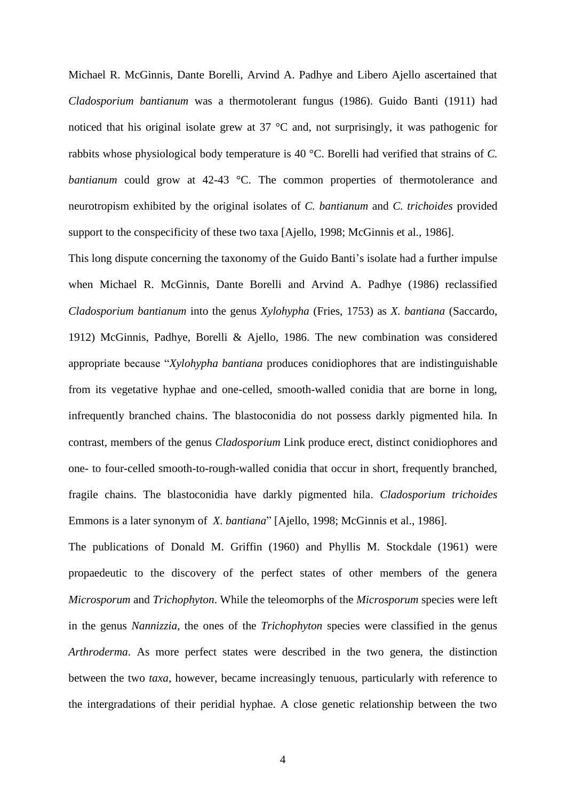Michael R. McGinnis, Dante Borelli, Arvind A. Padhye and Libero Ajello ascertained that *Cladosporium bantianum* was a thermotolerant fungus (1986). Guido Banti (1911) had noticed that his original isolate grew at 37 °C and, not surprisingly, it was pathogenic for rabbits whose physiological body temperature is 40 °C. Borelli had verified that strains of *C. bantianum* could grow at 42-43 °C. The common properties of thermotolerance and neurotropism exhibited by the original isolates of *C. bantianum* and *C. trichoides* provided support to the conspecificity of these two taxa [Ajello, 1998; McGinnis et al., 1986].

This long dispute concerning the taxonomy of the Guido Banti's isolate had a further impulse when Michael R. McGinnis, Dante Borelli and Arvind A. Padhye (1986) reclassified *Cladosporium bantianum* into the genus *Xylohypha* (Fries, 1753) as *X. bantiana* (Saccardo, 1912) McGinnis, Padhye, Borelli & Ajello, 1986. The new combination was considered appropriate because "*Xylohypha bantiana* produces conidiophores that are indistinguishable from its vegetative hyphae and one-celled, smooth-walled conidia that are borne in long, infrequently branched chains. The blastoconidia do not possess darkly pigmented hila. In contrast, members of the genus *Cladosporium* Link produce erect, distinct conidiophores and one- to four-celled smooth-to-rough-walled conidia that occur in short, frequently branched, fragile chains. The blastoconidia have darkly pigmented hila. *Cladosporium trichoides*  Emmons is a later synonym of *X. bantiana*" [Ajello, 1998; McGinnis et al., 1986].

The publications of Donald M. Griffin (1960) and Phyllis M. Stockdale (1961) were propaedeutic to the discovery of the perfect states of other members of the genera *Microsporum* and *Trichophyton*. While the teleomorphs of the *Microsporum* species were left in the genus *Nannizzia*, the ones of the *Trichophyton* species were classified in the genus *Arthroderma*. As more perfect states were described in the two genera, the distinction between the two *taxa*, however, became increasingly tenuous, particularly with reference to the intergradations of their peridial hyphae. A close genetic relationship between the two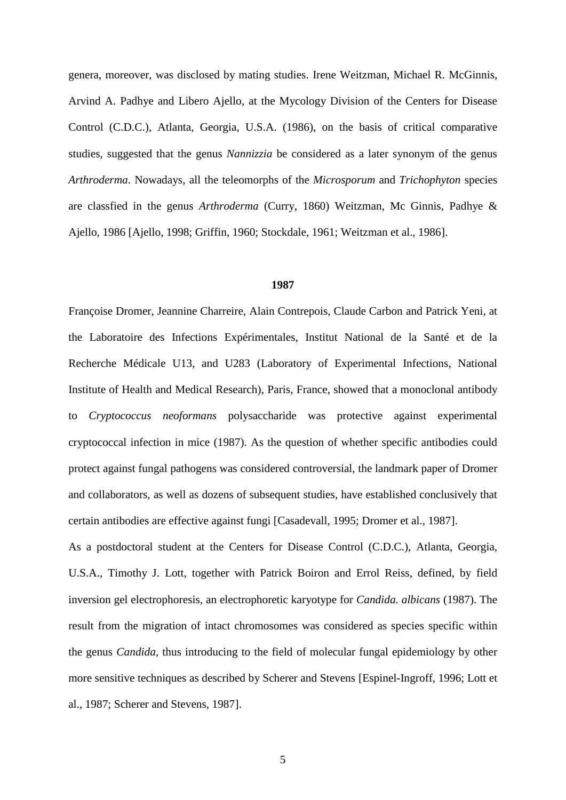genera, moreover, was disclosed by mating studies. Irene Weitzman, Michael R. McGinnis, Arvind A. Padhye and Libero Ajello, at the Mycology Division of the Centers for Disease Control (C.D.C.), Atlanta, Georgia, U.S.A. (1986), on the basis of critical comparative studies, suggested that the genus *Nannizzia* be considered as a later synonym of the genus *Arthroderma*. Nowadays, all the teleomorphs of the *Microsporum* and *Trichophyton* species are classfied in the genus *Arthroderma* (Curry, 1860) Weitzman, Mc Ginnis, Padhye & Ajello, 1986 [Ajello, 1998; Griffin, 1960; Stockdale, 1961; Weitzman et al., 1986].

### **1987**

Françoise Dromer, Jeannine Charreire, Alain Contrepois, Claude Carbon and Patrick Yeni, at the Laboratoire des Infections Expérimentales, Institut National de la Santé et de la Recherche Médicale U13, and U283 (Laboratory of Experimental Infections, National Institute of Health and Medical Research), Paris, France, showed that a monoclonal antibody to *Cryptococcus neoformans* polysaccharide was protective against experimental cryptococcal infection in mice (1987). As the question of whether specific antibodies could protect against fungal pathogens was considered controversial, the landmark paper of Dromer and collaborators, as well as dozens of subsequent studies, have established conclusively that certain antibodies are effective against fungi [Casadevall, 1995; Dromer et al., 1987].

As a postdoctoral student at the Centers for Disease Control (C.D.C.), Atlanta, Georgia, U.S.A., Timothy J. Lott, together with Patrick Boiron and Errol Reiss, defined, by field inversion gel electrophoresis, an electrophoretic karyotype for *Candida. albicans* (1987). The result from the migration of intact chromosomes was considered as species specific within the genus *Candida*, thus introducing to the field of molecular fungal epidemiology by other more sensitive techniques as described by Scherer and Stevens [Espinel-Ingroff, 1996; Lott et al., 1987; Scherer and Stevens, 1987].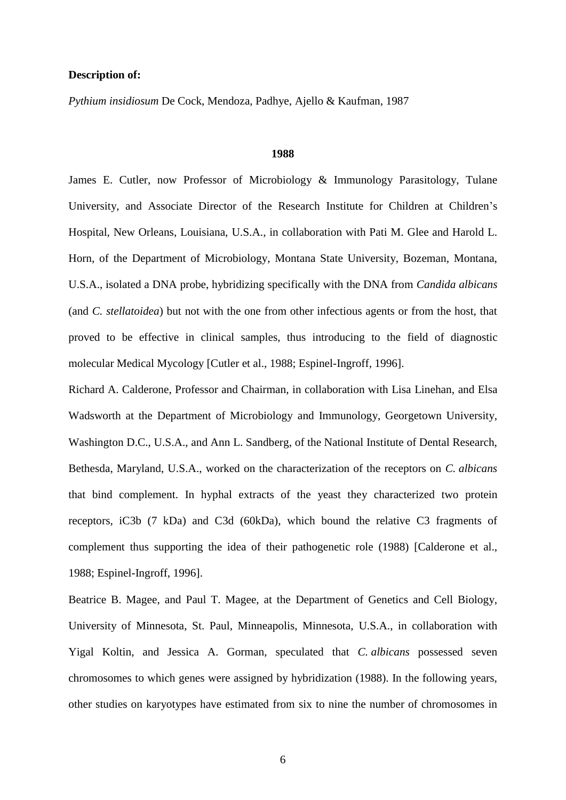# **Description of:**

*Pythium insidiosum* De Cock, Mendoza, Padhye, Ajello & Kaufman, 1987

# **1988**

James E. Cutler, now Professor of Microbiology & Immunology Parasitology, Tulane University, and Associate Director of the Research Institute for Children at Children's Hospital, New Orleans, Louisiana, U.S.A., in collaboration with Pati M. Glee and Harold L. Horn, of the Department of Microbiology, Montana State University, Bozeman, Montana, U.S.A., isolated a DNA probe, hybridizing specifically with the DNA from *Candida albicans* (and *C. stellatoidea*) but not with the one from other infectious agents or from the host, that proved to be effective in clinical samples, thus introducing to the field of diagnostic molecular Medical Mycology [Cutler et al., 1988; Espinel-Ingroff, 1996].

Richard A. Calderone, Professor and Chairman, in collaboration with Lisa Linehan, and Elsa Wadsworth at the Department of Microbiology and Immunology, Georgetown University, Washington D.C., U.S.A., and Ann L. Sandberg, of the National Institute of Dental Research, Bethesda, Maryland, U.S.A., worked on the characterization of the receptors on *C. albicans* that bind complement. In hyphal extracts of the yeast they characterized two protein receptors, iC3b (7 kDa) and C3d (60kDa), which bound the relative C3 fragments of complement thus supporting the idea of their pathogenetic role (1988) [Calderone et al., 1988; Espinel-Ingroff, 1996].

Beatrice B. Magee, and Paul T. Magee, at the Department of Genetics and Cell Biology, University of Minnesota, St. Paul, Minneapolis, Minnesota, U.S.A., in collaboration with Yigal Koltin, and Jessica A. Gorman, speculated that *C. albicans* possessed seven chromosomes to which genes were assigned by hybridization (1988). In the following years, other studies on karyotypes have estimated from six to nine the number of chromosomes in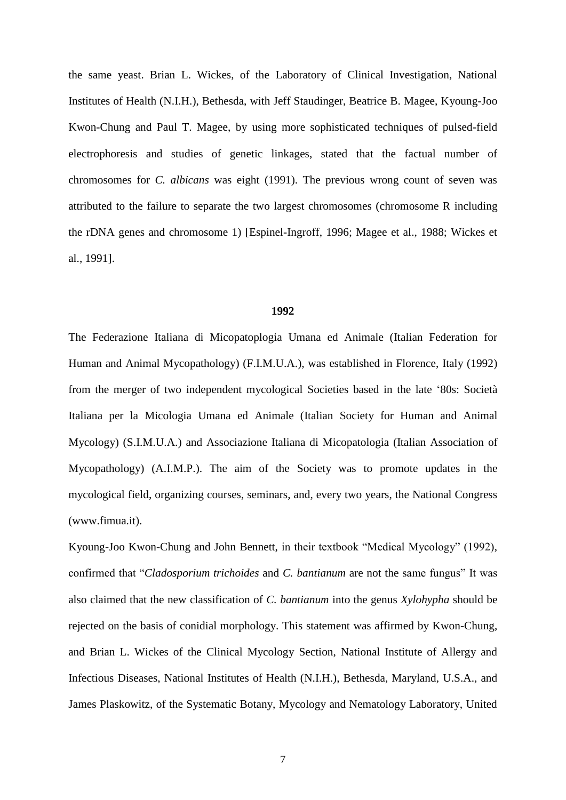the same yeast. Brian L. Wickes, of the Laboratory of Clinical Investigation, National Institutes of Health (N.I.H.), Bethesda, with Jeff Staudinger, Beatrice B. Magee, Kyoung-Joo Kwon-Chung and Paul T. Magee, by using more sophisticated techniques of pulsed-field electrophoresis and studies of genetic linkages, stated that the factual number of chromosomes for *C. albicans* was eight (1991). The previous wrong count of seven was attributed to the failure to separate the two largest chromosomes (chromosome R including the rDNA genes and chromosome 1) [Espinel-Ingroff, 1996; Magee et al., 1988; Wickes et al., 1991].

# **1992**

The Federazione Italiana di Micopatoplogia Umana ed Animale (Italian Federation for Human and Animal Mycopathology) (F.I.M.U.A.), was established in Florence, Italy (1992) from the merger of two independent mycological Societies based in the late '80s: Società Italiana per la Micologia Umana ed Animale (Italian Society for Human and Animal Mycology) (S.I.M.U.A.) and Associazione Italiana di Micopatologia (Italian Association of Mycopathology) (A.I.M.P.). The aim of the Society was to promote updates in the mycological field, organizing courses, seminars, and, every two years, the National Congress (www.fimua.it).

Kyoung-Joo Kwon-Chung and John Bennett, in their textbook "Medical Mycology" (1992), confirmed that "*Cladosporium trichoides* and *C. bantianum* are not the same fungus" It was also claimed that the new classification of *C. bantianum* into the genus *Xylohypha* should be rejected on the basis of conidial morphology. This statement was affirmed by Kwon-Chung, and Brian L. Wickes of the Clinical Mycology Section, National Institute of Allergy and Infectious Diseases, National Institutes of Health (N.I.H.), Bethesda, Maryland, U.S.A., and James Plaskowitz, of the Systematic Botany, Mycology and Nematology Laboratory, United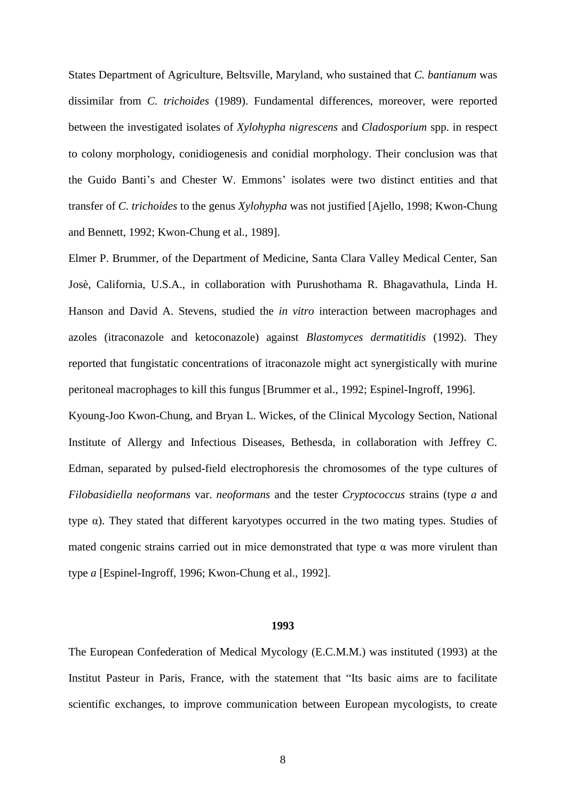States Department of Agriculture, Beltsville, Maryland, who sustained that *C. bantianum* was dissimilar from *C. trichoides* (1989). Fundamental differences, moreover, were reported between the investigated isolates of *Xylohypha nigrescens* and *Cladosporium* spp. in respect to colony morphology, conidiogenesis and conidial morphology. Their conclusion was that the Guido Banti's and Chester W. Emmons' isolates were two distinct entities and that transfer of *C. trichoides* to the genus *Xylohypha* was not justified [Ajello, 1998; Kwon-Chung and Bennett, 1992; Kwon-Chung et al., 1989].

Elmer P. Brummer, of the Department of Medicine, Santa Clara Valley Medical Center, San Josè, California, U.S.A., in collaboration with Purushothama R. Bhagavathula, Linda H. Hanson and David A. Stevens, studied the *in vitro* interaction between macrophages and azoles (itraconazole and ketoconazole) against *Blastomyces dermatitidis* (1992). They reported that fungistatic concentrations of itraconazole might act synergistically with murine peritoneal macrophages to kill this fungus [Brummer et al., 1992; Espinel-Ingroff, 1996].

Kyoung-Joo Kwon-Chung, and Bryan L. Wickes, of the Clinical Mycology Section, National Institute of Allergy and Infectious Diseases, Bethesda, in collaboration with Jeffrey C. Edman, separated by pulsed-field electrophoresis the chromosomes of the type cultures of *Filobasidiella neoformans* var. *neoformans* and the tester *Cryptococcus* strains (type *a* and type  $\alpha$ ). They stated that different karyotypes occurred in the two mating types. Studies of mated congenic strains carried out in mice demonstrated that type  $\alpha$  was more virulent than type *a* [Espinel-Ingroff, 1996; Kwon-Chung et al., 1992].

#### **1993**

The European Confederation of Medical Mycology (E.C.M.M.) was instituted (1993) at the Institut Pasteur in Paris, France, with the statement that "Its basic aims are to facilitate scientific exchanges, to improve communication between European mycologists, to create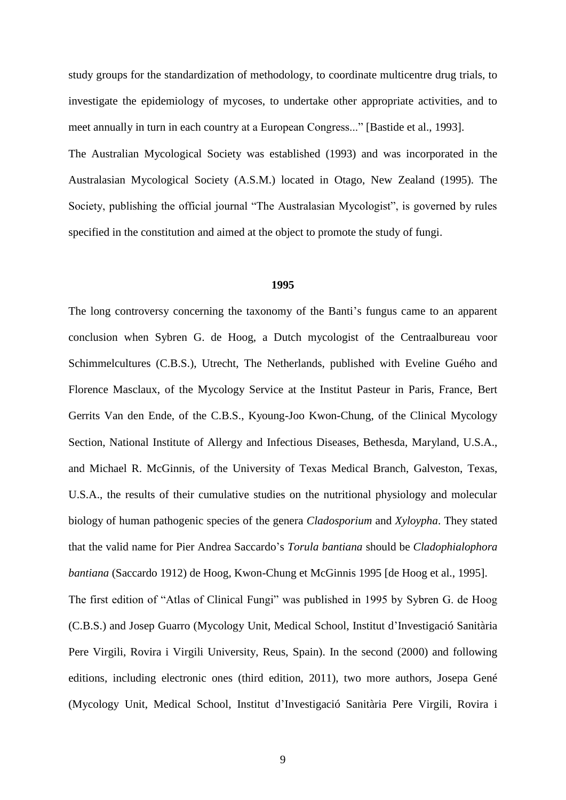study groups for the standardization of methodology, to coordinate multicentre drug trials, to investigate the epidemiology of mycoses, to undertake other appropriate activities, and to meet annually in turn in each country at a European Congress..." [Bastide et al., 1993].

The Australian Mycological Society was established (1993) and was incorporated in the Australasian Mycological Society (A.S.M.) located in Otago, New Zealand (1995). The Society, publishing the official journal "The Australasian Mycologist", is governed by rules specified in the [constitution](http://www.australasianmycology.com/pages/constitution.html) and aimed at the object to promote the study of fungi.

#### **1995**

The long controversy concerning the taxonomy of the Banti's fungus came to an apparent conclusion when Sybren G. de Hoog, a Dutch mycologist of the Centraalbureau voor Schimmelcultures (C.B.S.), Utrecht, The Netherlands, published with Eveline Guého and Florence Masclaux, of the Mycology Service at the Institut Pasteur in Paris, France, Bert Gerrits Van den Ende, of the C.B.S., Kyoung-Joo Kwon-Chung, of the Clinical Mycology Section, National Institute of Allergy and Infectious Diseases, Bethesda, Maryland, U.S.A., and Michael R. McGinnis, of the University of Texas Medical Branch, Galveston, Texas, U.S.A., the results of their cumulative studies on the nutritional physiology and molecular biology of human pathogenic species of the genera *Cladosporium* and *Xyloypha*. They stated that the valid name for Pier Andrea Saccardo's *Torula bantiana* should be *Cladophialophora bantiana* (Saccardo 1912) de Hoog, Kwon-Chung et McGinnis 1995 [de Hoog et al., 1995]. The first edition of "Atlas of Clinical Fungi" was published in 1995 by Sybren G. de Hoog (C.B.S.) and Josep Guarro (Mycology Unit, Medical School, Institut d'Investigació Sanitària Pere Virgili, Rovira i Virgili University, Reus, Spain). In the second (2000) and following editions, including electronic ones (third edition, 2011), two more authors, Josepa Gené

(Mycology Unit, Medical School, Institut d'Investigació Sanitària Pere Virgili, Rovira i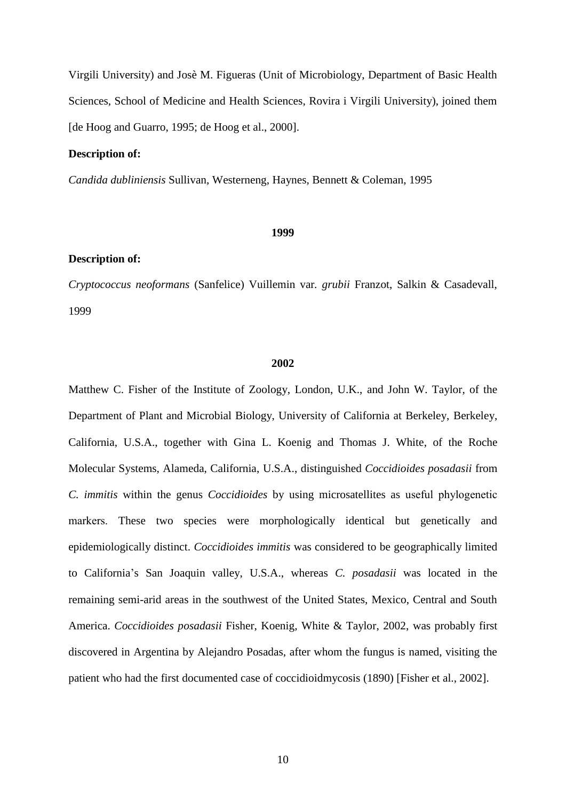Virgili University) and Josè M. Figueras (Unit of Microbiology, Department of Basic Health Sciences, School of Medicine and Health Sciences, Rovira i Virgili University), joined them [de Hoog and Guarro, 1995; de Hoog et al., 2000].

# **Description of:**

*Candida dubliniensis* Sullivan, Westerneng, Haynes, Bennett & Coleman, 1995

#### **1999**

### **Description of:**

*Cryptococcus neoformans* (Sanfelice) Vuillemin var*. grubii* Franzot, Salkin & Casadevall, 1999

# **2002**

Matthew C. Fisher of the Institute of Zoology, London, U.K., and John W. Taylor, of the Department of Plant and Microbial Biology, University of California at Berkeley, Berkeley, California, U.S.A., together with Gina L. Koenig and Thomas J. White, of the Roche Molecular Systems, Alameda, California, U.S.A., distinguished *Coccidioides posadasii* from *C. immitis* within the genus *Coccidioides* by using microsatellites as useful phylogenetic markers. These two species were morphologically identical but genetically and epidemiologically distinct. *Coccidioides immitis* was considered to be geographically limited to California's San Joaquin valley, U.S.A., whereas *C. posadasii* was located in the remaining semi-arid areas in the southwest of the United States, Mexico, Central and South America. *Coccidioides posadasii* Fisher, Koenig, White & Taylor, 2002, was probably first discovered in Argentina by Alejandro Posadas, after whom the fungus is named, visiting the patient who had the first documented case of coccidioidmycosis (1890) [Fisher et al., 2002].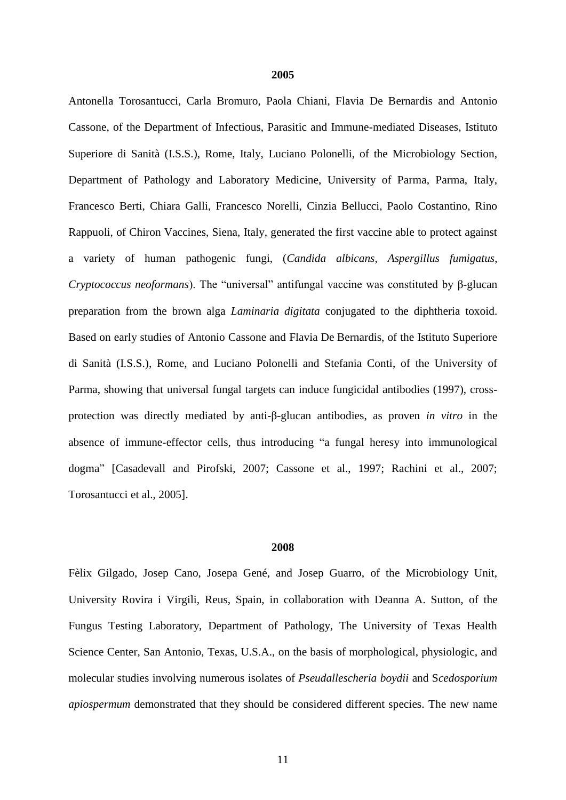Antonella Torosantucci, Carla Bromuro, Paola Chiani, Flavia De Bernardis and Antonio Cassone, of the Department of Infectious, Parasitic and Immune-mediated Diseases, Istituto Superiore di Sanità (I.S.S.), Rome, Italy, Luciano Polonelli, of the Microbiology Section, Department of Pathology and Laboratory Medicine, University of Parma, Parma, Italy, Francesco Berti, Chiara Galli, Francesco Norelli, Cinzia Bellucci, Paolo Costantino, Rino Rappuoli, of Chiron Vaccines, Siena, Italy, generated the first vaccine able to protect against a variety of human pathogenic fungi, (*Candida albicans*, *Aspergillus fumigatus*, *Cryptococcus neoformans*). The "universal" antifungal vaccine was constituted by β-glucan preparation from the brown alga *Laminaria digitata* conjugated to the diphtheria toxoid. Based on early studies of Antonio Cassone and Flavia De Bernardis, of the Istituto Superiore di Sanità (I.S.S.), Rome, and Luciano Polonelli and Stefania Conti, of the University of Parma, showing that universal fungal targets can induce fungicidal antibodies (1997), crossprotection was directly mediated by anti-β-glucan antibodies, as proven *in vitro* in the absence of immune-effector cells, thus introducing "a fungal heresy into immunological dogma" [Casadevall and Pirofski, 2007; Cassone et al., 1997; Rachini et al., 2007; Torosantucci et al., 2005].

### **2008**

Fèlix Gilgado, Josep Cano, Josepa Gené, and Josep Guarro, of the Microbiology Unit, University Rovira i Virgili, Reus, Spain, in collaboration with Deanna A. Sutton, of the Fungus Testing Laboratory, Department of Pathology, The University of Texas Health Science Center, San Antonio, Texas, U.S.A., on the basis of morphological, physiologic, and molecular studies involving numerous isolates of *Pseudallescheria boydii* and S*cedosporium apiospermum* demonstrated that they should be considered different species. The new name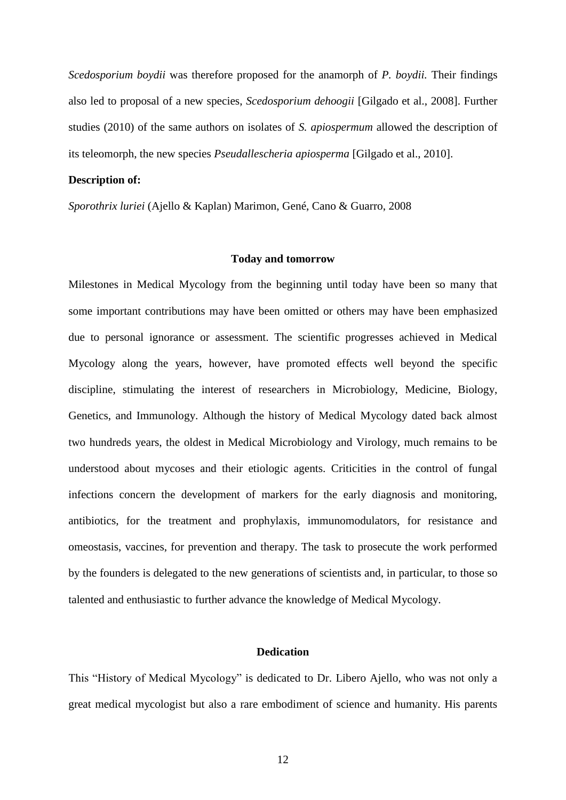*Scedosporium boydii* was therefore proposed for the anamorph of *P. boydii.* Their findings also led to proposal of a new species, *Scedosporium dehoogii* [Gilgado et al., 2008]. Further studies (2010) of the same authors on isolates of *S. apiospermum* allowed the description of its teleomorph, the new species *Pseudallescheria apiosperma* [Gilgado et al., 2010].

### **Description of:**

*Sporothrix luriei* (Ajello & Kaplan) Marimon, Gené, Cano & Guarro, 2008

## **Today and tomorrow**

Milestones in Medical Mycology from the beginning until today have been so many that some important contributions may have been omitted or others may have been emphasized due to personal ignorance or assessment. The scientific progresses achieved in Medical Mycology along the years, however, have promoted effects well beyond the specific discipline, stimulating the interest of researchers in Microbiology, Medicine, Biology, Genetics, and Immunology. Although the history of Medical Mycology dated back almost two hundreds years, the oldest in Medical Microbiology and Virology, much remains to be understood about mycoses and their etiologic agents. Criticities in the control of fungal infections concern the development of markers for the early diagnosis and monitoring, antibiotics, for the treatment and prophylaxis, immunomodulators, for resistance and omeostasis, vaccines, for prevention and therapy. The task to prosecute the work performed by the founders is delegated to the new generations of scientists and, in particular, to those so talented and enthusiastic to further advance the knowledge of Medical Mycology.

# **Dedication**

This "History of Medical Mycology" is dedicated to Dr. Libero Ajello, who was not only a great medical mycologist but also a rare embodiment of science and humanity. His parents